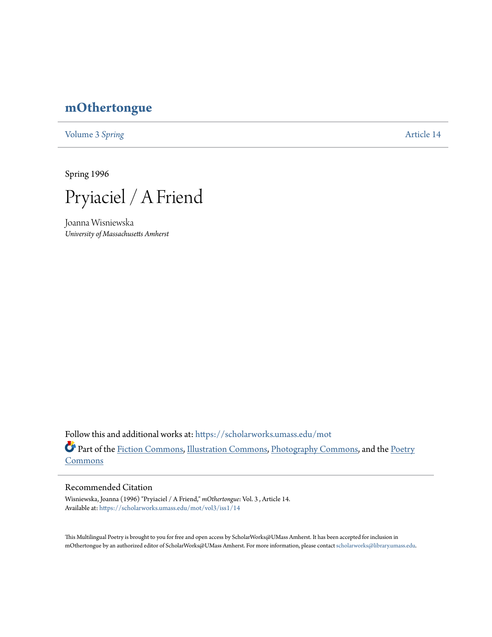## **[mOthertongue](https://scholarworks.umass.edu/mot?utm_source=scholarworks.umass.edu%2Fmot%2Fvol3%2Fiss1%2F14&utm_medium=PDF&utm_campaign=PDFCoverPages)**

[Volume 3](https://scholarworks.umass.edu/mot/vol3?utm_source=scholarworks.umass.edu%2Fmot%2Fvol3%2Fiss1%2F14&utm_medium=PDF&utm_campaign=PDFCoverPages) Spring **[Article 14](https://scholarworks.umass.edu/mot/vol3/iss1/14?utm_source=scholarworks.umass.edu%2Fmot%2Fvol3%2Fiss1%2F14&utm_medium=PDF&utm_campaign=PDFCoverPages)** 

Spring 1996



Joanna Wisniewska *University of Massachusetts Amherst*

Follow this and additional works at: [https://scholarworks.umass.edu/mot](https://scholarworks.umass.edu/mot?utm_source=scholarworks.umass.edu%2Fmot%2Fvol3%2Fiss1%2F14&utm_medium=PDF&utm_campaign=PDFCoverPages) Part of the [Fiction Commons](http://network.bepress.com/hgg/discipline/1151?utm_source=scholarworks.umass.edu%2Fmot%2Fvol3%2Fiss1%2F14&utm_medium=PDF&utm_campaign=PDFCoverPages), [Illustration Commons,](http://network.bepress.com/hgg/discipline/1135?utm_source=scholarworks.umass.edu%2Fmot%2Fvol3%2Fiss1%2F14&utm_medium=PDF&utm_campaign=PDFCoverPages) [Photography Commons,](http://network.bepress.com/hgg/discipline/1142?utm_source=scholarworks.umass.edu%2Fmot%2Fvol3%2Fiss1%2F14&utm_medium=PDF&utm_campaign=PDFCoverPages) and the [Poetry](http://network.bepress.com/hgg/discipline/1153?utm_source=scholarworks.umass.edu%2Fmot%2Fvol3%2Fiss1%2F14&utm_medium=PDF&utm_campaign=PDFCoverPages) **[Commons](http://network.bepress.com/hgg/discipline/1153?utm_source=scholarworks.umass.edu%2Fmot%2Fvol3%2Fiss1%2F14&utm_medium=PDF&utm_campaign=PDFCoverPages)** 

## Recommended Citation

Wisniewska, Joanna (1996) "Pryiaciel / A Friend," *mOthertongue*: Vol. 3 , Article 14. Available at: [https://scholarworks.umass.edu/mot/vol3/iss1/14](https://scholarworks.umass.edu/mot/vol3/iss1/14?utm_source=scholarworks.umass.edu%2Fmot%2Fvol3%2Fiss1%2F14&utm_medium=PDF&utm_campaign=PDFCoverPages)

This Multilingual Poetry is brought to you for free and open access by ScholarWorks@UMass Amherst. It has been accepted for inclusion in mOthertongue by an authorized editor of ScholarWorks@UMass Amherst. For more information, please contact [scholarworks@library.umass.edu](mailto:scholarworks@library.umass.edu).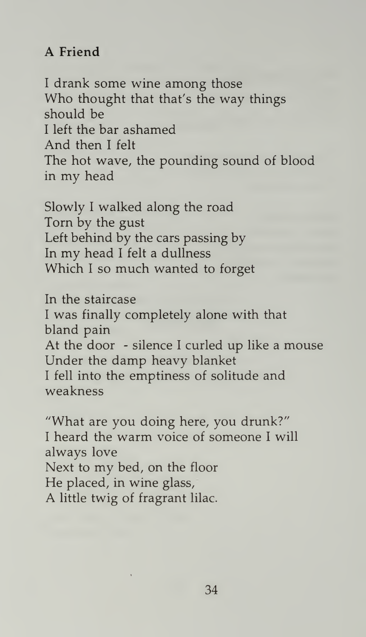## A Friend

<sup>I</sup> drank some wine among those Who thought that that's the way things should be <sup>I</sup> left the bar ashamed And then <sup>I</sup> felt The hot wave, the pounding sound of blood in my head

Slowly <sup>I</sup> walked along the road Torn by the gust Left behind by the cars passing by In my head <sup>I</sup> felt <sup>a</sup> dullness Which <sup>I</sup> so much wanted to forget

In the staircase <sup>I</sup> was finally completely alone with that bland pain At the door - silence <sup>I</sup> curled up like a mouse Under the damp heavy blanket <sup>I</sup> fell into the emptiness of solitude and weakness

"What are you doing here, you drunk?" <sup>I</sup> heard the warm voice of someone <sup>I</sup> will always love Next to my bed, on the floor He placed, in wine glass, A little twig of fragrant lilac.